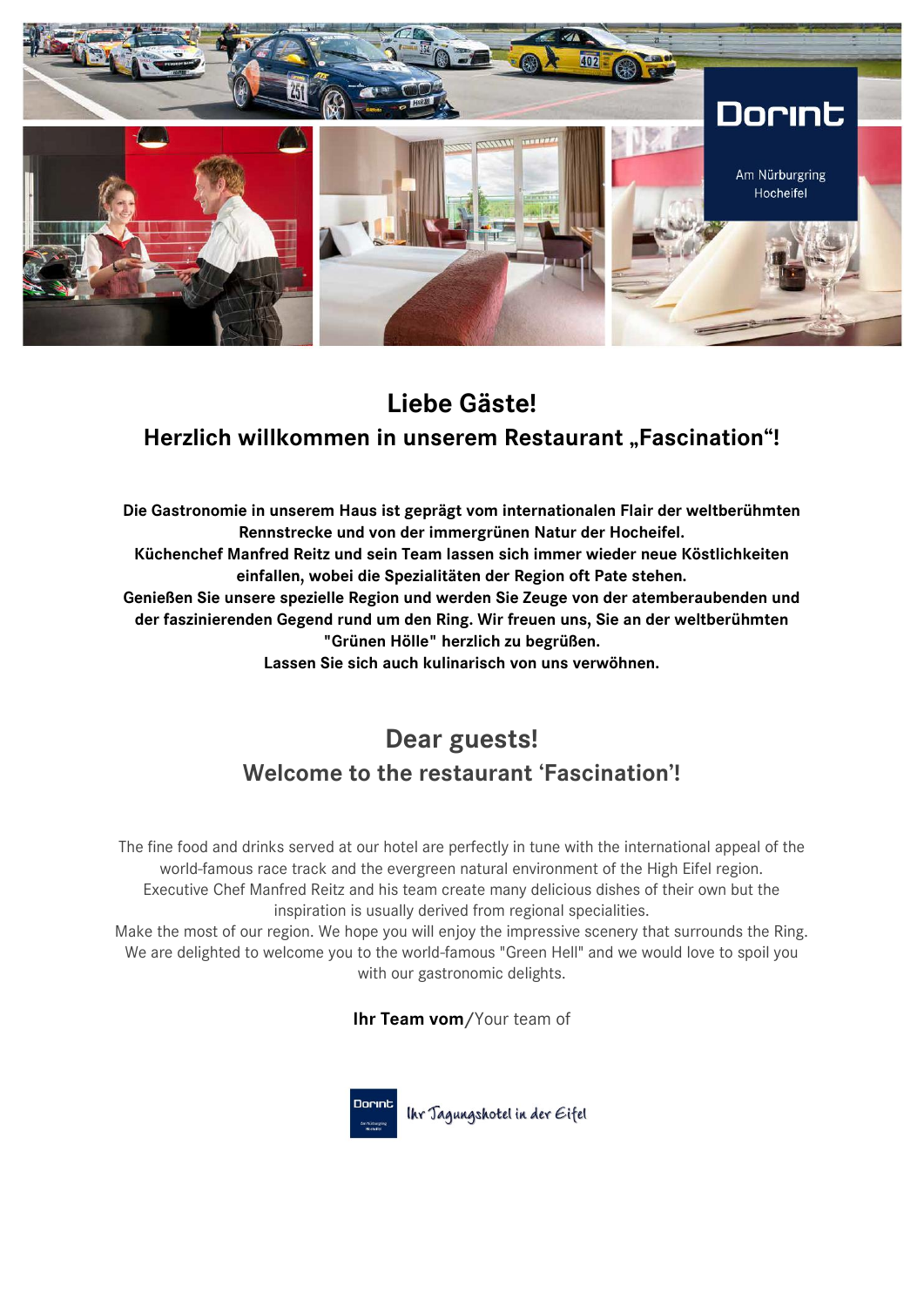

# **Liebe Gäste! Herzlich willkommen in unserem Restaurant "Fascination"!**

**Die Gastronomie in unserem Haus ist geprägt vom internationalen Flair der weltberühmten Rennstrecke und von der immergrünen Natur der Hocheifel. Küchenchef Manfred Reitz und sein Team lassen sich immer wieder neue Köstlichkeiten einfallen, wobei die Spezialitäten der Region oft Pate stehen. Genießen Sie unsere spezielle Region und werden Sie Zeuge von der atemberaubenden und der faszinierenden Gegend rund um den Ring. Wir freuen uns, Sie an der weltberühmten "Grünen Hölle" herzlich zu begrüßen. Lassen Sie sich auch kulinarisch von uns verwöhnen.**

# **Dear guests! Welcome to the restaurant 'Fascination'!**

The fine food and drinks served at our hotel are perfectly in tune with the international appeal of the world-famous race track and the evergreen natural environment of the High Eifel region. Executive Chef Manfred Reitz and his team create many delicious dishes of their own but the inspiration is usually derived from regional specialities.

Make the most of our region. We hope you will enjoy the impressive scenery that surrounds the Ring. We are delighted to welcome you to the world-famous "Green Hell" and we would love to spoil you with our gastronomic delights.

**Ihr Team vom/**Your team of



Ihr Jagungshotel in der Eifel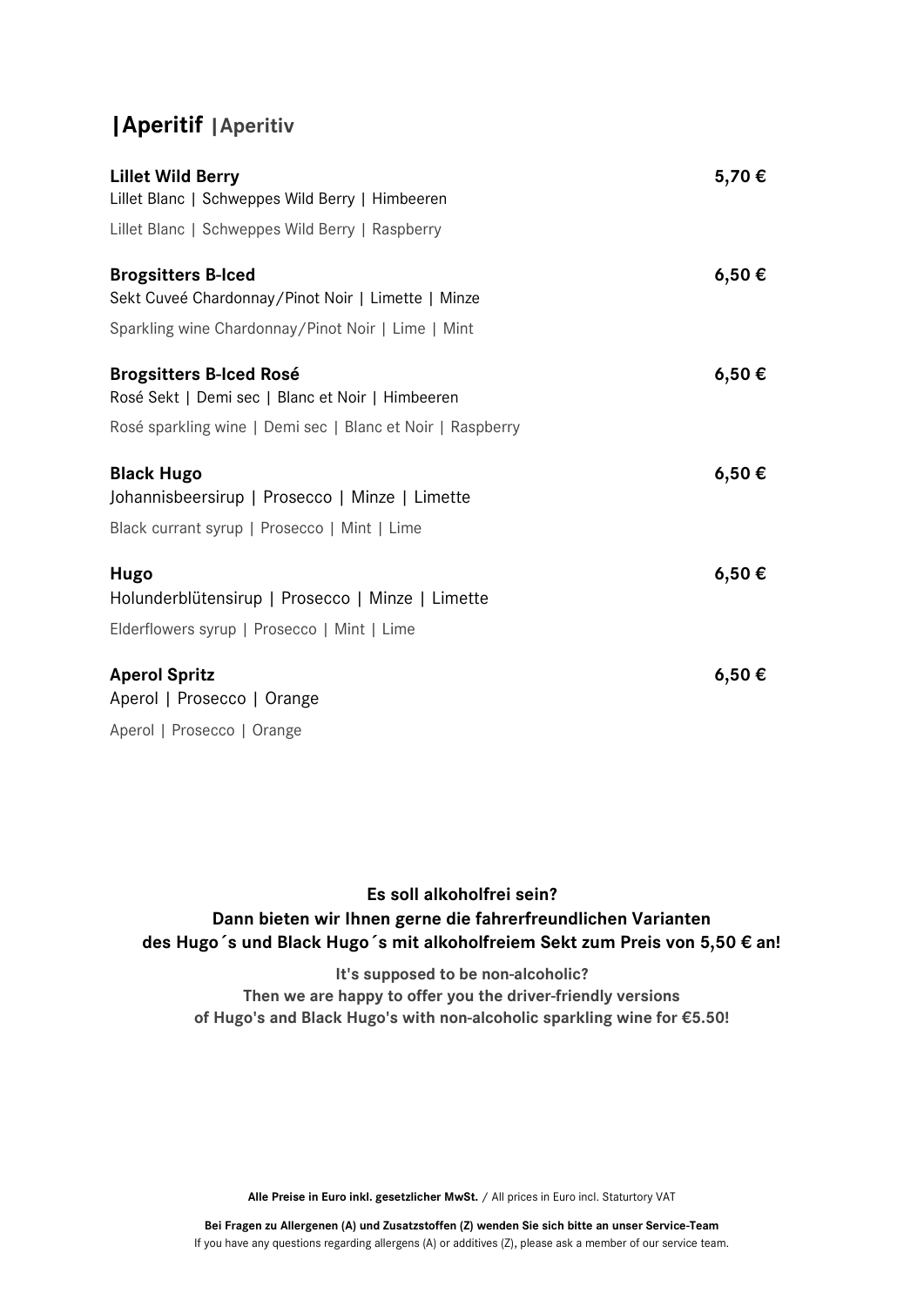# **|Aperitif |Aperitiv**

| <b>Lillet Wild Berry</b>                                   | 5,70€ |
|------------------------------------------------------------|-------|
| Lillet Blanc   Schweppes Wild Berry   Himbeeren            |       |
| Lillet Blanc   Schweppes Wild Berry   Raspberry            |       |
| <b>Brogsitters B-lced</b>                                  | 6,50€ |
| Sekt Cuveé Chardonnay/Pinot Noir   Limette   Minze         |       |
| Sparkling wine Chardonnay/Pinot Noir   Lime   Mint         |       |
| <b>Brogsitters B-Iced Rosé</b>                             | 6,50€ |
| Rosé Sekt   Demi sec   Blanc et Noir   Himbeeren           |       |
| Rosé sparkling wine   Demi sec   Blanc et Noir   Raspberry |       |
| <b>Black Hugo</b>                                          | 6,50€ |
| Johannisbeersirup   Prosecco   Minze   Limette             |       |
| Black currant syrup   Prosecco   Mint   Lime               |       |
| Hugo                                                       | 6,50€ |
| Holunderblütensirup   Prosecco   Minze   Limette           |       |
| Elderflowers syrup   Prosecco   Mint   Lime                |       |
| <b>Aperol Spritz</b>                                       | 6,50€ |
| Aperol   Prosecco   Orange                                 |       |
| Aperol   Prosecco   Orange                                 |       |

## **Es soll alkoholfrei sein? Dann bieten wir Ihnen gerne die fahrerfreundlichen Varianten des Hugo´s und Black Hugo´s mit alkoholfreiem Sekt zum Preis von 5,50 € an!**

**It's supposed to be non-alcoholic? Then we are happy to offer you the driver-friendly versions of Hugo's and Black Hugo's with non-alcoholic sparkling wine for €5.50!**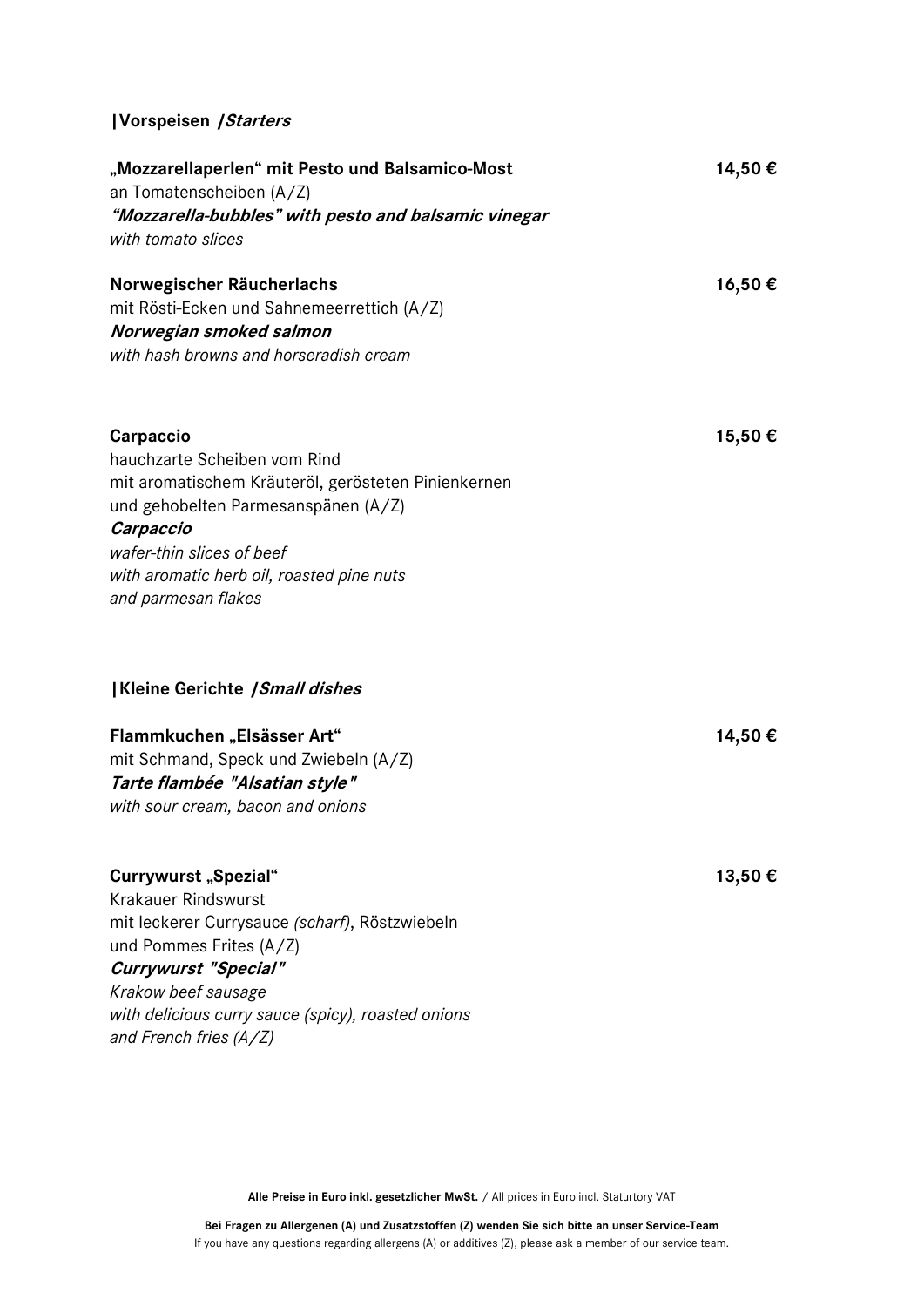# **|Vorspeisen |Starters**

| "Mozzarellaperlen" mit Pesto und Balsamico-Most<br>an Tomatenscheiben (A/Z)<br>"Mozzarella-bubbles" with pesto and balsamic vinegar<br>with tomato slices                                                                                                               | 14,50 € |
|-------------------------------------------------------------------------------------------------------------------------------------------------------------------------------------------------------------------------------------------------------------------------|---------|
| Norwegischer Räucherlachs<br>mit Rösti-Ecken und Sahnemeerrettich (A/Z)<br>Norwegian smoked salmon<br>with hash browns and horseradish cream                                                                                                                            | 16,50€  |
| Carpaccio<br>hauchzarte Scheiben vom Rind<br>mit aromatischem Kräuteröl, gerösteten Pinienkernen<br>und gehobelten Parmesanspänen (A/Z)<br>Carpaccio<br>wafer-thin slices of beef<br>with aromatic herb oil, roasted pine nuts<br>and parmesan flakes                   | 15,50€  |
| Kleine Gerichte / Small dishes                                                                                                                                                                                                                                          |         |
| Flammkuchen "Elsässer Art"<br>mit Schmand, Speck und Zwiebeln (A/Z)<br>Tarte flambée "Alsatian style"<br>with sour cream, bacon and onions                                                                                                                              | 14,50€  |
| Currywurst "Spezial"<br><b>Krakauer Rindswurst</b><br>mit leckerer Currysauce (scharf), Röstzwiebeln<br>und Pommes Frites (A/Z)<br><b>Currywurst "Special"</b><br>Krakow beef sausage<br>with delicious curry sauce (spicy), roasted onions<br>and French fries $(A/Z)$ | 13,50€  |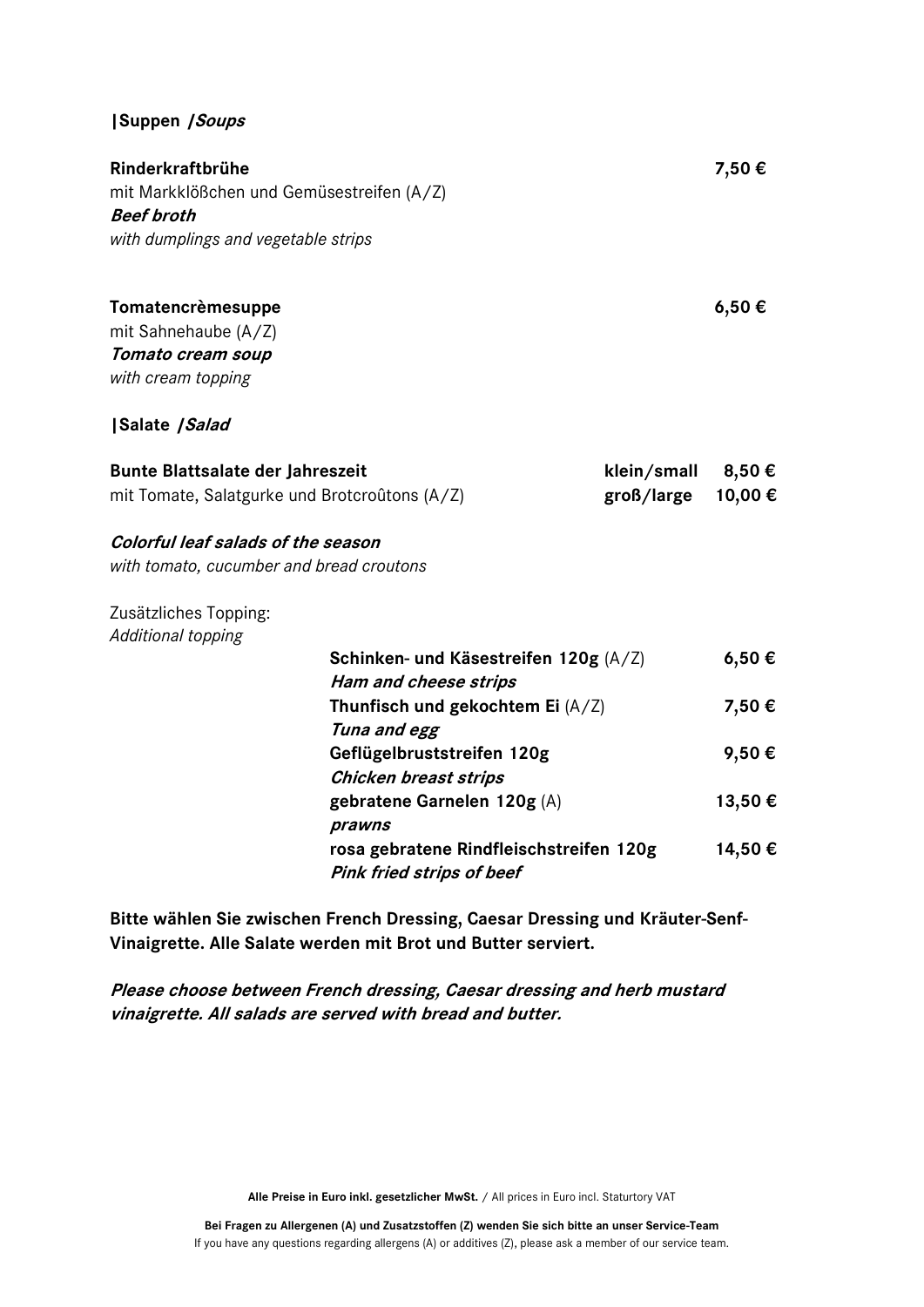#### **|Suppen |Soups**

**Rinderkraftbrühe 7,50 €** mit Markklößchen und Gemüsestreifen (A/Z) **Beef broth** *with dumplings and vegetable strips*

**Tomatencrèmesuppe 6,50 €**

mit Sahnehaube (A/Z) **Tomato cream soup** *with cream topping* 

**|Salate |Salad**

| <b>Bunte Blattsalate der Jahreszeit</b>       | klein/small $8,50 \in$ |  |
|-----------------------------------------------|------------------------|--|
| mit Tomate, Salatgurke und Brotcroûtons (A/Z) | groß/large $10,00 \in$ |  |

**Colorful leaf salads of the season**

*with tomato, cucumber and bread croutons*

Zusätzliches Topping: *Additional topping*

| Schinken- und Käsestreifen 120g (A/Z)   | 6,50€   |
|-----------------------------------------|---------|
| Ham and cheese strips                   |         |
| Thunfisch und gekochtem Ei $(A/Z)$      | 7,50€   |
| Tuna and egg                            |         |
| Geflügelbruststreifen 120g              | 9,50€   |
| <b>Chicken breast strips</b>            |         |
| gebratene Garnelen 120g (A)             | 13,50 € |
| prawns                                  |         |
| rosa gebratene Rindfleischstreifen 120g | 14,50 € |
| <b>Pink fried strips of beef</b>        |         |

**Bitte wählen Sie zwischen French Dressing, Caesar Dressing und Kräuter-Senf-Vinaigrette. Alle Salate werden mit Brot und Butter serviert.** 

**Please choose between French dressing, Caesar dressing and herb mustard vinaigrette. All salads are served with bread and butter.**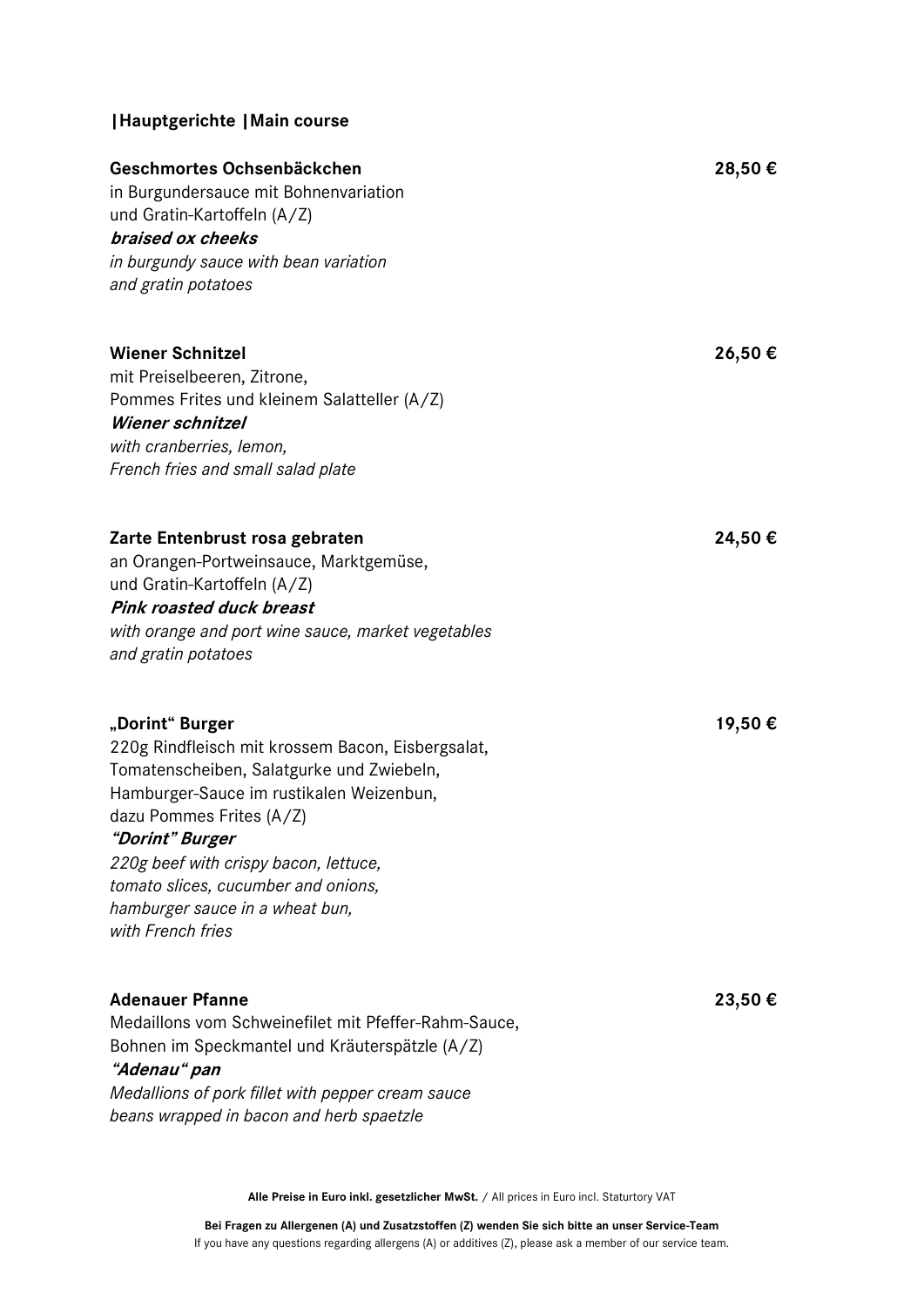## **|Hauptgerichte |Main course**

| Geschmortes Ochsenbäckchen<br>in Burgundersauce mit Bohnenvariation<br>und Gratin-Kartoffeln (A/Z)<br>braised ox cheeks<br>in burgundy sauce with bean variation<br>and gratin potatoes                                 | 28,50€ |
|-------------------------------------------------------------------------------------------------------------------------------------------------------------------------------------------------------------------------|--------|
| <b>Wiener Schnitzel</b><br>mit Preiselbeeren, Zitrone,<br>Pommes Frites und kleinem Salatteller (A/Z)<br><b>Wiener schnitzel</b><br>with cranberries, lemon,<br>French fries and small salad plate                      | 26,50€ |
| Zarte Entenbrust rosa gebraten<br>an Orangen-Portweinsauce, Marktgemüse,<br>und Gratin-Kartoffeln (A/Z)<br><b>Pink roasted duck breast</b><br>with orange and port wine sauce, market vegetables<br>and gratin potatoes | 24,50€ |
| "Dorint" Burger<br>220g Rindfleisch mit krossem Bacon, Eisbergsalat,<br>Tomatenscheiben, Salatgurke und Zwiebeln,<br>Hamburger-Sauce im rustikalen Weizenbun,<br>dazu Pommes Frites (A/Z)                               | 19,50€ |

## **"Dorint" Burger**

*220g beef with crispy bacon, lettuce, tomato slices, cucumber and onions, hamburger sauce in a wheat bun, with French fries* 

## **Adenauer Pfanne 23,50 €**

Medaillons vom Schweinefilet mit Pfeffer-Rahm-Sauce, Bohnen im Speckmantel und Kräuterspätzle (A/Z)

## **"Adenau" pan**

*Medallions of pork fillet with pepper cream sauce beans wrapped in bacon and herb spaetzle*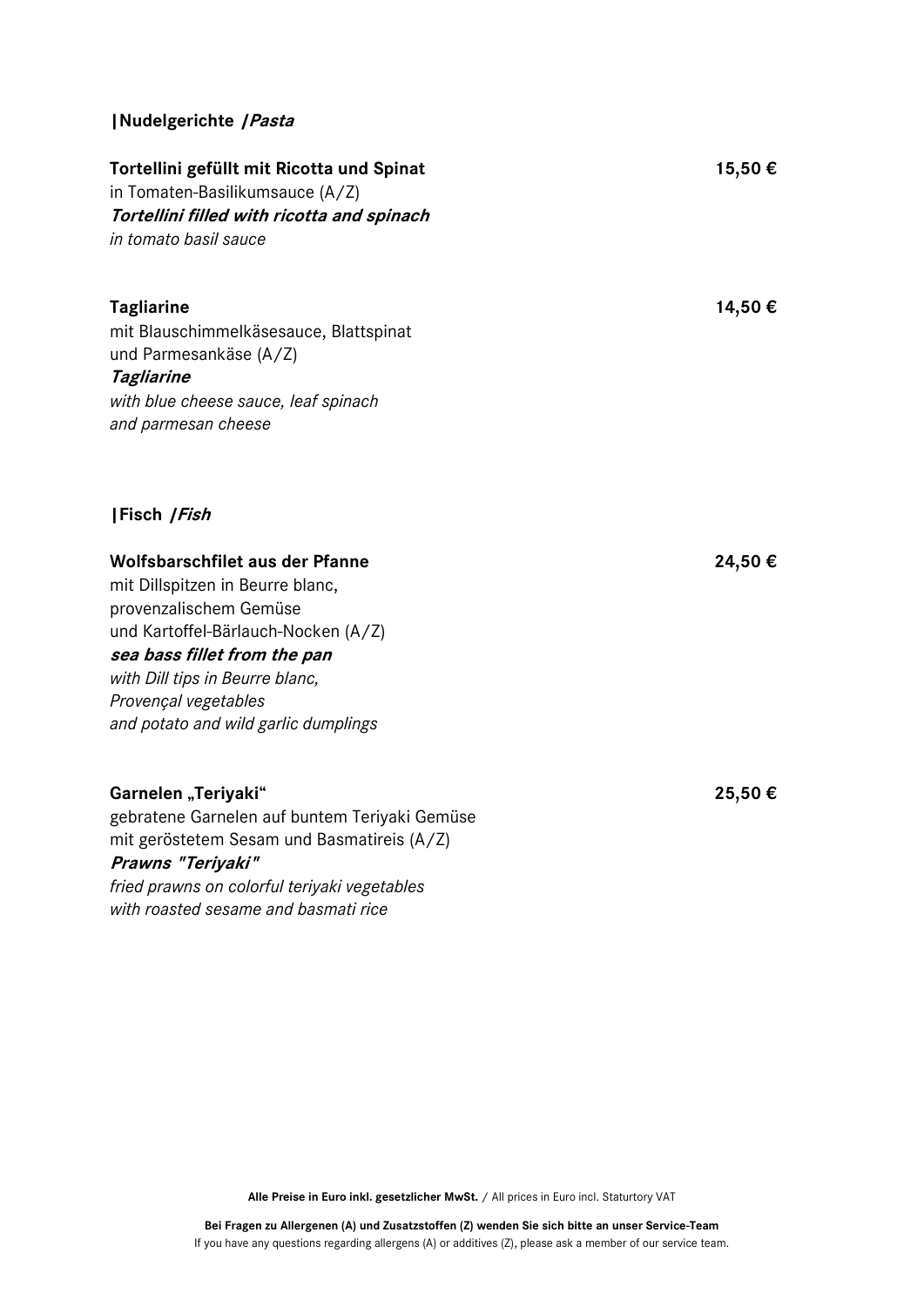#### **|Nudelgerichte |Pasta**

## **Tortellini gefüllt mit Ricotta und Spinat 15,50 €**

in Tomaten-Basilikumsauce (A/Z) **Tortellini filled with ricotta and spinach**  *in tomato basil sauce*

### **Tagliarine 14,50 €**

mit Blauschimmelkäsesauce, Blattspinat und Parmesankäse (A/Z)

#### **Tagliarine**

*with blue cheese sauce, leaf spinach and parmesan cheese*

## **|Fisch |Fish**

#### **Wolfsbarschfilet aus der Pfanne 24,50 €**

mit Dillspitzen in Beurre blanc, provenzalischem Gemüse und Kartoffel-Bärlauch-Nocken (A/Z) **sea bass fillet from the pan** *with Dill tips in Beurre blanc, Provençal vegetables and potato and wild garlic dumplings*

#### **Garnelen "Teriyaki" 25,50 €**

gebratene Garnelen auf buntem Teriyaki Gemüse mit geröstetem Sesam und Basmatireis (A/Z) **Prawns "Teriyaki"**  *fried prawns on colorful teriyaki vegetables with roasted sesame and basmati rice*

**Alle Preise in Euro inkl. gesetzlicher MwSt.** / All prices in Euro incl. Staturtory VAT

**Bei Fragen zu Allergenen (A) und Zusatzstoffen (Z) wenden Sie sich bitte an unser Service-Team** If you have any questions regarding allergens (A) or additives (Z), please ask a member of our service team.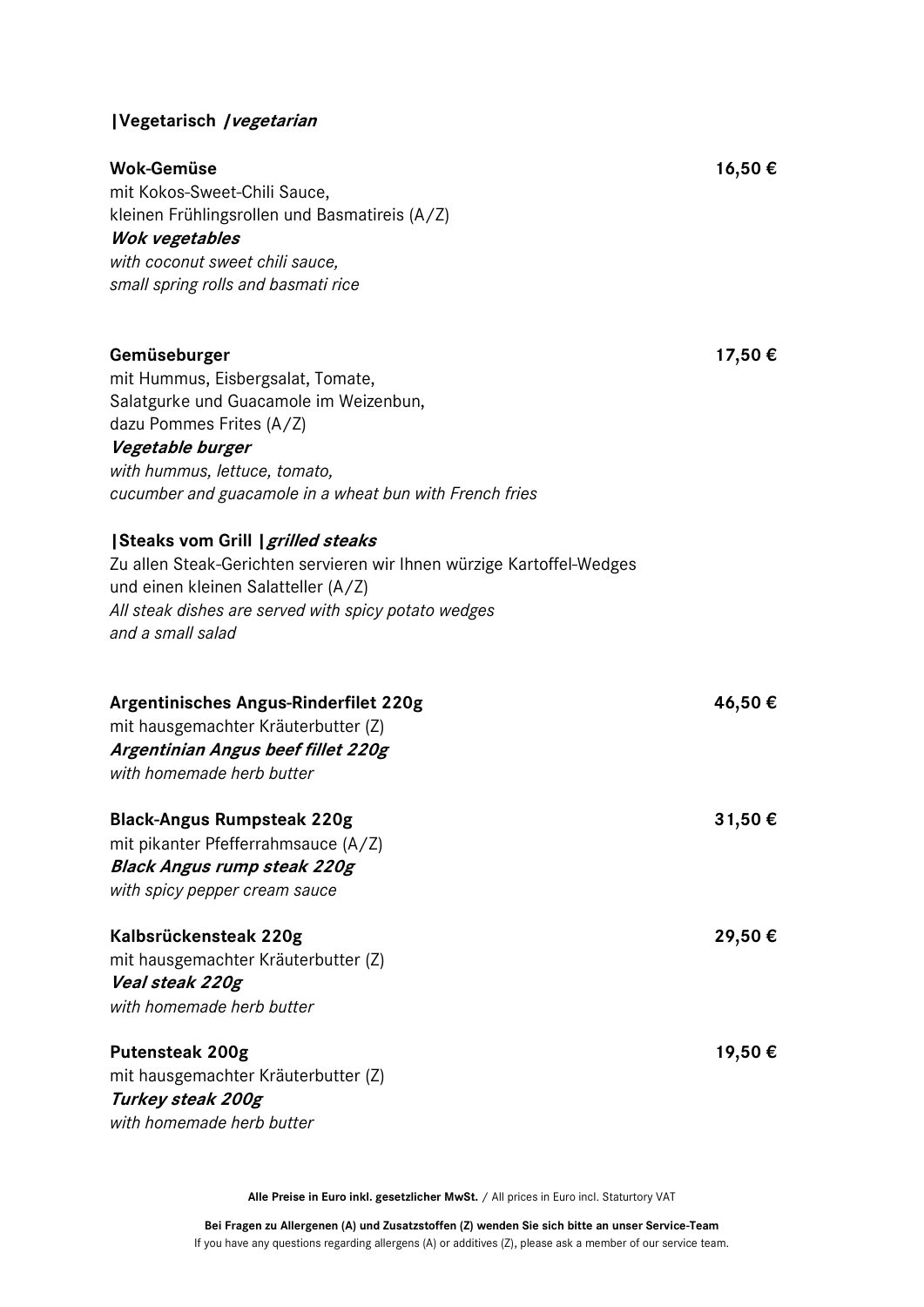## **|Vegetarisch |vegetarian**

| Wok-Gemüse | 16,50€ |  |
|------------|--------|--|
|            |        |  |

mit Kokos-Sweet-Chili Sauce, kleinen Frühlingsrollen und Basmatireis (A/Z) **Wok vegetables** *with coconut sweet chili sauce,* 

*small spring rolls and basmati rice*

## **Gemüseburger 17,50 €**

mit Hummus, Eisbergsalat, Tomate, Salatgurke und Guacamole im Weizenbun, dazu Pommes Frites (A/Z)

#### **Vegetable burger**

*with hummus, lettuce, tomato, cucumber and guacamole in a wheat bun with French fries*

#### **|Steaks vom Grill |grilled steaks**

Zu allen Steak-Gerichten servieren wir Ihnen würzige Kartoffel-Wedges und einen kleinen Salatteller (A/Z) *All steak dishes are served with spicy potato wedges and a small salad*

| Argentinisches Angus-Rinderfilet 220g<br>mit hausgemachter Kräuterbutter (Z) | 46,50€  |
|------------------------------------------------------------------------------|---------|
| Argentinian Angus beef fillet 220g                                           |         |
| with homemade herb butter                                                    |         |
| <b>Black-Angus Rumpsteak 220g</b>                                            | 31,50€  |
| mit pikanter Pfefferrahmsauce (A/Z)                                          |         |
| <b>Black Angus rump steak 220g</b>                                           |         |
| with spicy pepper cream sauce                                                |         |
| Kalbsrückensteak 220g                                                        | 29,50 € |
| mit hausgemachter Kräuterbutter (Z)                                          |         |
| Veal steak 220g                                                              |         |
| with homemade herb butter                                                    |         |
|                                                                              |         |
| <b>Putensteak 200g</b>                                                       | 19,50€  |
| mit hausgemachter Kräuterbutter (Z)                                          |         |
|                                                                              |         |

**Turkey steak 200g** *with homemade herb butter*